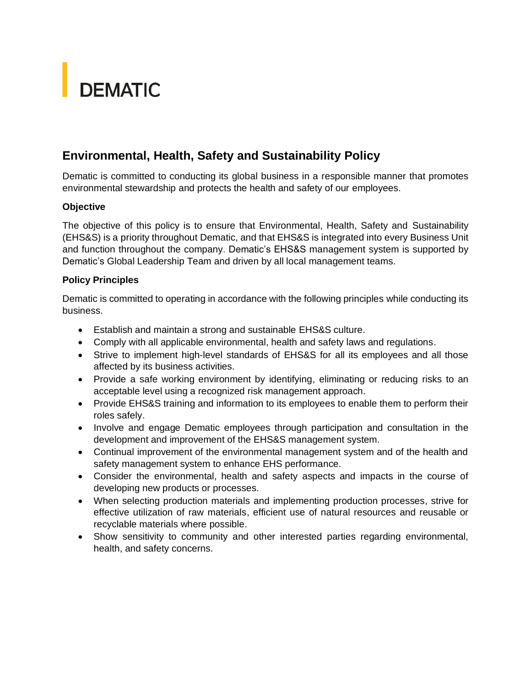# **DEMATIC**

## **Environmental, Health, Safety and Sustainability Policy**

Dematic is committed to conducting its global business in a responsible manner that promotes environmental stewardship and protects the health and safety of our employees.

### **Objective**

The objective of this policy is to ensure that Environmental, Health, Safety and Sustainability (EHS&S) is a priority throughout Dematic, and that EHS&S is integrated into every Business Unit and function throughout the company. Dematic's EHS&S management system is supported by Dematic's Global Leadership Team and driven by all local management teams.

#### **Policy Principles**

Dematic is committed to operating in accordance with the following principles while conducting its business.

- Establish and maintain a strong and sustainable EHS&S culture.
- Comply with all applicable environmental, health and safety laws and regulations.
- Strive to implement high-level standards of EHS&S for all its employees and all those affected by its business activities.
- Provide a safe working environment by identifying, eliminating or reducing risks to an acceptable level using a recognized risk management approach.
- Provide EHS&S training and information to its employees to enable them to perform their roles safely.
- Involve and engage Dematic employees through participation and consultation in the development and improvement of the EHS&S management system.
- Continual improvement of the environmental management system and of the health and safety management system to enhance EHS performance.
- Consider the environmental, health and safety aspects and impacts in the course of developing new products or processes.
- When selecting production materials and implementing production processes, strive for effective utilization of raw materials, efficient use of natural resources and reusable or recyclable materials where possible.
- Show sensitivity to community and other interested parties regarding environmental, health, and safety concerns.